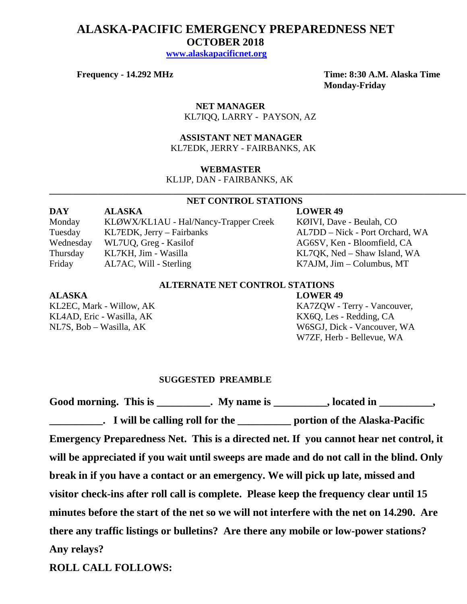# **ALASKA-PACIFIC EMERGENCY PREPAREDNESS NET OCTOBER 2018**

 **[www.alaskapacificnet.org](http://www.alaskapacificnet.org/)**

**Frequency - 14.292 MHz Time: 8:30 A.M. Alaska Time Monday-Friday**

> **NET MANAGER** KL7IQQ, LARRY - PAYSON, AZ

# **ASSISTANT NET MANAGER**  KL7EDK, JERRY - FAIRBANKS, AK

### **WEBMASTER**

KL1JP, DAN - FAIRBANKS, AK

# **NET CONTROL STATIONS**

**\_\_\_\_\_\_\_\_\_\_\_\_\_\_\_\_\_\_\_\_\_\_\_\_\_\_\_\_\_\_\_\_\_\_\_\_\_\_\_\_\_\_\_\_\_\_\_\_\_\_\_\_\_\_\_\_\_\_\_\_\_\_\_\_\_\_\_\_\_\_\_\_\_\_\_\_\_\_\_\_\_\_\_\_\_\_\_\_\_\_\_**

| <b>DAY</b> | <b>ALASKA</b>                         | <b>LOWER 49</b>                 |
|------------|---------------------------------------|---------------------------------|
| Monday     | KLØWX/KL1AU - Hal/Nancy-Trapper Creek | KØIVI, Dave - Beulah, CO        |
| Tuesday    | KL7EDK, Jerry – Fairbanks             | AL7DD – Nick - Port Orchard, WA |
| Wednesday  | WL7UQ, Greg - Kasilof                 | AG6SV, Ken - Bloomfield, CA     |
| Thursday   | KL7KH, Jim - Wasilla                  | KL7QK, Ned – Shaw Island, WA    |
| Friday     | AL7AC, Will - Sterling                | $K7$ AJM, Jim – Columbus, MT    |

# **ALTERNATE NET CONTROL STATIONS**

### **ALASKA LOWER 49**

KL4AD, Eric - Wasilla, AK KL4AD, Eric - Wasilla, AK

KL2EC, Mark - Willow, AK KA7ZQW - Terry - Vancouver, NL7S, Bob – Wasilla, AK W6SGJ, Dick - Vancouver, WA W7ZF, Herb - Bellevue, WA

### **SUGGESTED PREAMBLE**

Good morning. This is \_\_\_\_\_\_\_\_\_\_. My name is \_\_\_\_\_\_\_\_\_, located in \_\_\_\_\_\_\_\_\_, **\_\_\_\_\_\_\_\_\_\_. I will be calling roll for the \_\_\_\_\_\_\_\_\_\_ portion of the Alaska-Pacific Emergency Preparedness Net. This is a directed net. If you cannot hear net control, it will be appreciated if you wait until sweeps are made and do not call in the blind. Only break in if you have a contact or an emergency. We will pick up late, missed and visitor check-ins after roll call is complete. Please keep the frequency clear until 15 minutes before the start of the net so we will not interfere with the net on 14.290. Are there any traffic listings or bulletins? Are there any mobile or low-power stations? Any relays?** 

**ROLL CALL FOLLOWS:**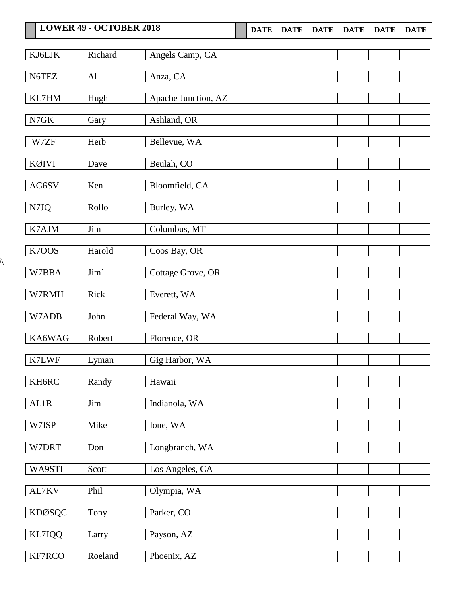| <b>LOWER 49 - OCTOBER 2018</b> |         | <b>DATE</b>         | <b>DATE</b> | <b>DATE</b> | <b>DATE</b> | <b>DATE</b> | <b>DATE</b> |  |
|--------------------------------|---------|---------------------|-------------|-------------|-------------|-------------|-------------|--|
| KJ6LJK                         | Richard | Angels Camp, CA     |             |             |             |             |             |  |
|                                |         |                     |             |             |             |             |             |  |
| N6TEZ                          | Al      | Anza, CA            |             |             |             |             |             |  |
| KL7HM                          | Hugh    | Apache Junction, AZ |             |             |             |             |             |  |
| N7GK                           | Gary    | Ashland, OR         |             |             |             |             |             |  |
| W7ZF                           | Herb    | Bellevue, WA        |             |             |             |             |             |  |
| <b>KØIVI</b>                   | Dave    | Beulah, CO          |             |             |             |             |             |  |
| AG6SV                          | Ken     | Bloomfield, CA      |             |             |             |             |             |  |
| N7JQ                           | Rollo   | Burley, WA          |             |             |             |             |             |  |
| K7AJM                          | Jim     | Columbus, MT        |             |             |             |             |             |  |
| K7OOS                          | Harold  | Coos Bay, OR        |             |             |             |             |             |  |
| W7BBA                          | Jim'    | Cottage Grove, OR   |             |             |             |             |             |  |
| W7RMH                          | Rick    | Everett, WA         |             |             |             |             |             |  |
| W7ADB                          | John    | Federal Way, WA     |             |             |             |             |             |  |
| KA6WAG                         | Robert  | Florence, OR        |             |             |             |             |             |  |
| K7LWF                          | Lyman   | Gig Harbor, WA      |             |             |             |             |             |  |
| KH6RC                          | Randy   | Hawaii              |             |             |             |             |             |  |
| AL1R                           | Jim     | Indianola, WA       |             |             |             |             |             |  |
| W7ISP                          | Mike    | Ione, WA            |             |             |             |             |             |  |
| W7DRT                          | Don     | Longbranch, WA      |             |             |             |             |             |  |
| WA9STI                         | Scott   | Los Angeles, CA     |             |             |             |             |             |  |
| AL7KV                          | Phil    | Olympia, WA         |             |             |             |             |             |  |
| <b>KDØSQC</b>                  | Tony    | Parker, CO          |             |             |             |             |             |  |
| KL7IQQ                         | Larry   | Payson, AZ          |             |             |             |             |             |  |
| KF7RCO                         | Roeland | Phoenix, AZ         |             |             |             |             |             |  |

 $\overline{\mathcal{N}}$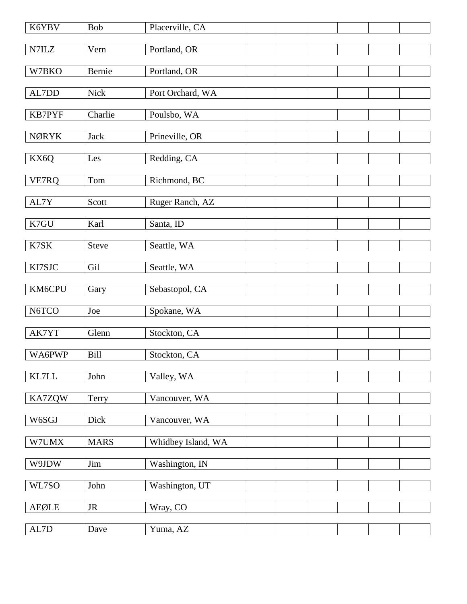| K6YBV                                             | <b>Bob</b>  | Placerville, CA    |  |  |  |
|---------------------------------------------------|-------------|--------------------|--|--|--|
| N7ILZ                                             | Vern        | Portland, OR       |  |  |  |
| W7BKO                                             | Bernie      | Portland, OR       |  |  |  |
| AL7DD                                             | Nick        | Port Orchard, WA   |  |  |  |
| KB7PYF                                            | Charlie     | Poulsbo, WA        |  |  |  |
| <b>NØRYK</b>                                      | <b>Jack</b> | Prineville, OR     |  |  |  |
| KX6Q                                              | Les         | Redding, CA        |  |  |  |
| VE7RQ                                             | Tom         | Richmond, BC       |  |  |  |
| AL7Y                                              | Scott       | Ruger Ranch, AZ    |  |  |  |
| K7GU                                              | Karl        | Santa, ID          |  |  |  |
| K7SK                                              | Steve       | Seattle, WA        |  |  |  |
| KI7SJC                                            | Gil         | Seattle, WA        |  |  |  |
|                                                   |             |                    |  |  |  |
| KM6CPU                                            | Gary        | Sebastopol, CA     |  |  |  |
| N6TCO                                             | Joe         | Spokane, WA        |  |  |  |
| AK7YT                                             | Glenn       | Stockton, CA       |  |  |  |
| WA6PWP                                            | <b>Bill</b> | Stockton, CA       |  |  |  |
| KL7LL                                             | John        | Valley, WA         |  |  |  |
| KA7ZQW                                            | Terry       | Vancouver, WA      |  |  |  |
| W6SGJ                                             | Dick        | Vancouver, WA      |  |  |  |
| W7UMX                                             | <b>MARS</b> | Whidbey Island, WA |  |  |  |
| W9JDW                                             | Jim         | Washington, IN     |  |  |  |
| WL7SO                                             | John        | Washington, UT     |  |  |  |
| ${\sf A}\mathsf{E}\mathsf{Q}\mathsf{L}\mathsf{E}$ | $\rm JR$    | Wray, CO           |  |  |  |
| $\mbox{AL7D}$                                     | Dave        | Yuma, AZ           |  |  |  |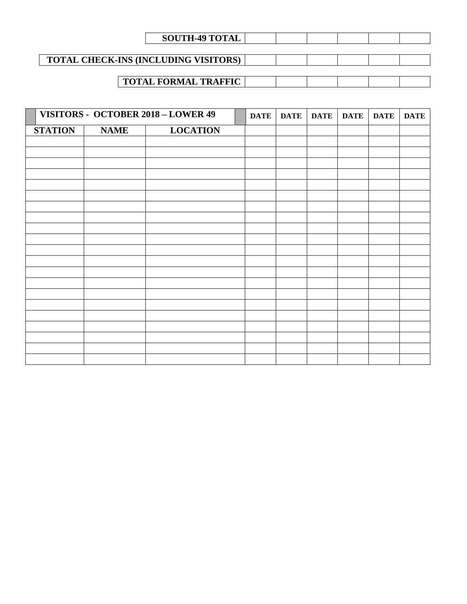| <b>SOUTH-49 TOTAL</b>                       |  |  |  |
|---------------------------------------------|--|--|--|
|                                             |  |  |  |
| <b>TOTAL CHECK-INS (INCLUDING VISITORS)</b> |  |  |  |
|                                             |  |  |  |
| <b>TOTAL FORMAL TRAFFIC</b>                 |  |  |  |

|                |             | VISITORS - OCTOBER 2018 - LOWER 49 | <b>DATE</b> | <b>DATE</b> | <b>DATE</b> | <b>DATE</b> | <b>DATE</b> | <b>DATE</b> |
|----------------|-------------|------------------------------------|-------------|-------------|-------------|-------------|-------------|-------------|
| <b>STATION</b> | <b>NAME</b> | <b>LOCATION</b>                    |             |             |             |             |             |             |
|                |             |                                    |             |             |             |             |             |             |
|                |             |                                    |             |             |             |             |             |             |
|                |             |                                    |             |             |             |             |             |             |
|                |             |                                    |             |             |             |             |             |             |
|                |             |                                    |             |             |             |             |             |             |
|                |             |                                    |             |             |             |             |             |             |
|                |             |                                    |             |             |             |             |             |             |
|                |             |                                    |             |             |             |             |             |             |
|                |             |                                    |             |             |             |             |             |             |
|                |             |                                    |             |             |             |             |             |             |
|                |             |                                    |             |             |             |             |             |             |
|                |             |                                    |             |             |             |             |             |             |
|                |             |                                    |             |             |             |             |             |             |
|                |             |                                    |             |             |             |             |             |             |
|                |             |                                    |             |             |             |             |             |             |
|                |             |                                    |             |             |             |             |             |             |
|                |             |                                    |             |             |             |             |             |             |
|                |             |                                    |             |             |             |             |             |             |
|                |             |                                    |             |             |             |             |             |             |
|                |             |                                    |             |             |             |             |             |             |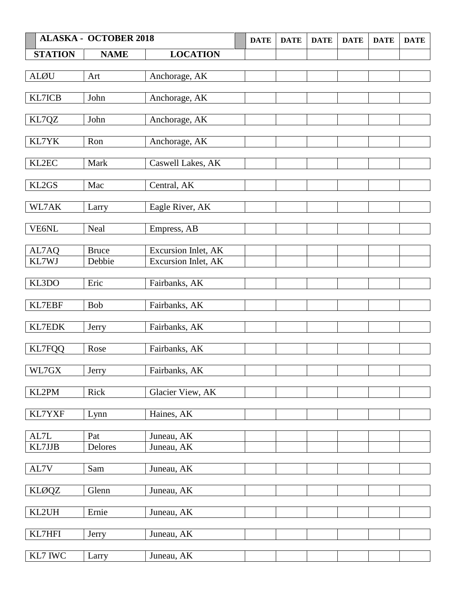|                | <b>ALASKA - OCTOBER 2018</b> |                     | <b>DATE</b> | <b>DATE</b> | <b>DATE</b> | <b>DATE</b> | <b>DATE</b> | <b>DATE</b> |
|----------------|------------------------------|---------------------|-------------|-------------|-------------|-------------|-------------|-------------|
| <b>STATION</b> | <b>NAME</b>                  | <b>LOCATION</b>     |             |             |             |             |             |             |
|                |                              |                     |             |             |             |             |             |             |
| <b>ALØU</b>    | Art                          | Anchorage, AK       |             |             |             |             |             |             |
|                |                              |                     |             |             |             |             |             |             |
| KL7ICB         | John                         | Anchorage, AK       |             |             |             |             |             |             |
|                |                              |                     |             |             |             |             |             |             |
| KL7QZ          | John                         | Anchorage, AK       |             |             |             |             |             |             |
|                |                              |                     |             |             |             |             |             |             |
| KL7YK          | Ron                          | Anchorage, AK       |             |             |             |             |             |             |
| KL2EC          | Mark                         |                     |             |             |             |             |             |             |
|                |                              | Caswell Lakes, AK   |             |             |             |             |             |             |
| KL2GS          | Mac                          | Central, AK         |             |             |             |             |             |             |
|                |                              |                     |             |             |             |             |             |             |
| WL7AK          | Larry                        | Eagle River, AK     |             |             |             |             |             |             |
|                |                              |                     |             |             |             |             |             |             |
| VE6NL          | Neal                         | Empress, AB         |             |             |             |             |             |             |
|                |                              |                     |             |             |             |             |             |             |
| AL7AQ          | <b>Bruce</b>                 | Excursion Inlet, AK |             |             |             |             |             |             |
| KL7WJ          | Debbie                       | Excursion Inlet, AK |             |             |             |             |             |             |
|                |                              |                     |             |             |             |             |             |             |
| KL3DO          | Eric                         | Fairbanks, AK       |             |             |             |             |             |             |
|                |                              |                     |             |             |             |             |             |             |
| KL7EBF         | <b>Bob</b>                   | Fairbanks, AK       |             |             |             |             |             |             |
|                |                              |                     |             |             |             |             |             |             |
| KL7EDK         | Jerry                        | Fairbanks, AK       |             |             |             |             |             |             |
| <b>KL7FQQ</b>  | Rose                         | Fairbanks, AK       |             |             |             |             |             |             |
|                |                              |                     |             |             |             |             |             |             |
| WL7GX          | Jerry                        | Fairbanks, AK       |             |             |             |             |             |             |
|                |                              |                     |             |             |             |             |             |             |
| KL2PM          | Rick                         | Glacier View, AK    |             |             |             |             |             |             |
|                |                              |                     |             |             |             |             |             |             |
| KL7YXF         | Lynn                         | Haines, AK          |             |             |             |             |             |             |
|                |                              |                     |             |             |             |             |             |             |
| AL7L           | Pat                          | Juneau, AK          |             |             |             |             |             |             |
| KL7JJB         | Delores                      | Juneau, AK          |             |             |             |             |             |             |
|                |                              |                     |             |             |             |             |             |             |
| AL7V           | Sam                          | Juneau, AK          |             |             |             |             |             |             |
|                |                              |                     |             |             |             |             |             |             |
| <b>KLØQZ</b>   | Glenn                        | Juneau, AK          |             |             |             |             |             |             |
| KL2UH          | Ernie                        |                     |             |             |             |             |             |             |
|                |                              | Juneau, AK          |             |             |             |             |             |             |
| KL7HFI         | Jerry                        | Juneau, AK          |             |             |             |             |             |             |
|                |                              |                     |             |             |             |             |             |             |
| KL7 IWC        | Larry                        | Juneau, AK          |             |             |             |             |             |             |
|                |                              |                     |             |             |             |             |             |             |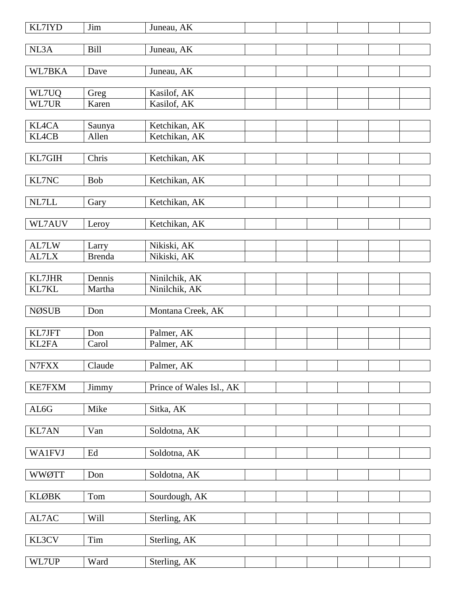| <b>KL7IYD</b> | Jim           | Juneau, AK               |  |  |  |
|---------------|---------------|--------------------------|--|--|--|
| NL3A          | <b>Bill</b>   | Juneau, AK               |  |  |  |
| WL7BKA        | Dave          | Juneau, AK               |  |  |  |
|               |               |                          |  |  |  |
| WL7UQ         | Greg          | Kasilof, AK              |  |  |  |
| WL7UR         | Karen         | Kasilof, AK              |  |  |  |
| <b>KL4CA</b>  | Saunya        | Ketchikan, AK            |  |  |  |
| <b>KL4CB</b>  | Allen         | Ketchikan, AK            |  |  |  |
|               |               |                          |  |  |  |
| KL7GIH        | Chris         | Ketchikan, AK            |  |  |  |
| KL7NC         | Bob           | Ketchikan, AK            |  |  |  |
|               |               |                          |  |  |  |
| NL7LL         | Gary          | Ketchikan, AK            |  |  |  |
| WL7AUV        | Leroy         | Ketchikan, AK            |  |  |  |
|               |               |                          |  |  |  |
| AL7LW         | Larry         | Nikiski, AK              |  |  |  |
| AL7LX         | <b>Brenda</b> | Nikiski, AK              |  |  |  |
| KL7JHR        | Dennis        | Ninilchik, AK            |  |  |  |
| KL7KL         | Martha        | Ninilchik, AK            |  |  |  |
|               |               |                          |  |  |  |
| <b>NØSUB</b>  | Don           | Montana Creek, AK        |  |  |  |
| KL7JFT        | Don           | Palmer, AK               |  |  |  |
| KL2FA         | Carol         | Palmer, AK               |  |  |  |
|               |               |                          |  |  |  |
| N7FXX         | Claude        | Palmer, AK               |  |  |  |
| <b>KE7FXM</b> | Jimmy         | Prince of Wales Isl., AK |  |  |  |
|               |               |                          |  |  |  |
| AL6G          | Mike          | Sitka, AK                |  |  |  |
|               |               |                          |  |  |  |
| <b>KL7AN</b>  | Van           | Soldotna, AK             |  |  |  |
| <b>WA1FVJ</b> | Ed            | Soldotna, AK             |  |  |  |
|               |               |                          |  |  |  |
| <b>WWØTT</b>  | Don           | Soldotna, AK             |  |  |  |
| <b>KLØBK</b>  | Tom           | Sourdough, AK            |  |  |  |
|               |               |                          |  |  |  |
| AL7AC         | Will          | Sterling, AK             |  |  |  |
|               |               |                          |  |  |  |
| KL3CV         | Tim           | Sterling, AK             |  |  |  |
| WL7UP         | Ward          | Sterling, AK             |  |  |  |